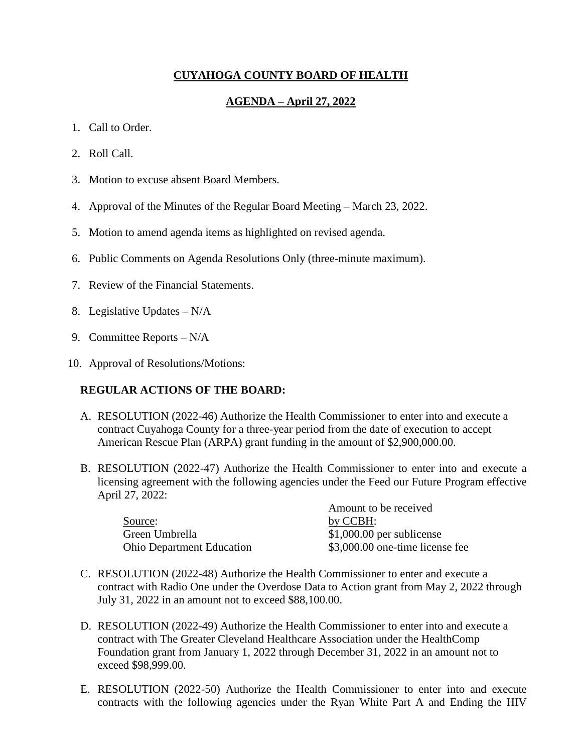# **CUYAHOGA COUNTY BOARD OF HEALTH**

# **AGENDA – April 27, 2022**

- 1. Call to Order.
- 2. Roll Call.
- 3. Motion to excuse absent Board Members.
- 4. Approval of the Minutes of the Regular Board Meeting March 23, 2022.
- 5. Motion to amend agenda items as highlighted on revised agenda.
- 6. Public Comments on Agenda Resolutions Only (three-minute maximum).
- 7. Review of the Financial Statements.
- 8. Legislative Updates N/A
- 9. Committee Reports N/A
- 10. Approval of Resolutions/Motions:

# **REGULAR ACTIONS OF THE BOARD:**

- A. RESOLUTION (2022-46) Authorize the Health Commissioner to enter into and execute a contract Cuyahoga County for a three-year period from the date of execution to accept American Rescue Plan (ARPA) grant funding in the amount of \$2,900,000.00.
- B. RESOLUTION (2022-47) Authorize the Health Commissioner to enter into and execute a licensing agreement with the following agencies under the Feed our Future Program effective April 27, 2022:

|                                  | Amount to be received           |  |
|----------------------------------|---------------------------------|--|
| Source:                          | by CCBH:                        |  |
| Green Umbrella                   | $$1,000.00$ per sublicense      |  |
| <b>Ohio Department Education</b> | \$3,000.00 one-time license fee |  |

- C. RESOLUTION (2022-48) Authorize the Health Commissioner to enter and execute a contract with Radio One under the Overdose Data to Action grant from May 2, 2022 through July 31, 2022 in an amount not to exceed \$88,100.00.
- D. RESOLUTION (2022-49) Authorize the Health Commissioner to enter into and execute a contract with The Greater Cleveland Healthcare Association under the HealthComp Foundation grant from January 1, 2022 through December 31, 2022 in an amount not to exceed \$98,999.00.
- E. RESOLUTION (2022-50) Authorize the Health Commissioner to enter into and execute contracts with the following agencies under the Ryan White Part A and Ending the HIV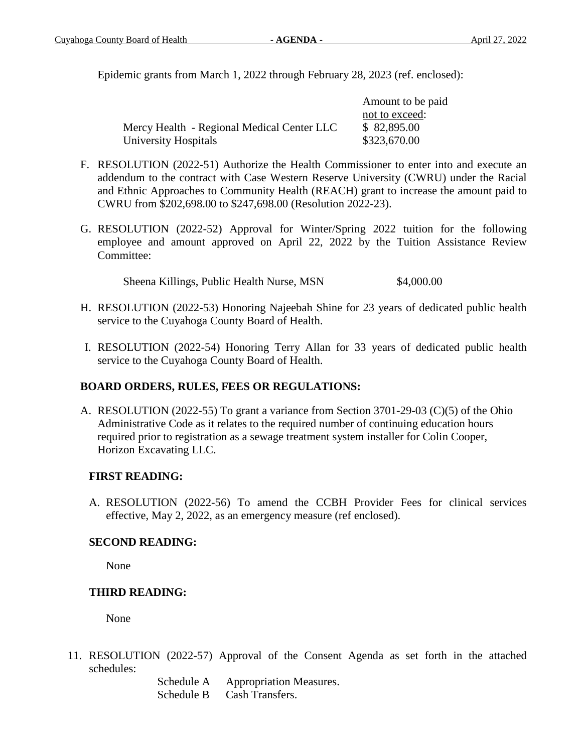Epidemic grants from March 1, 2022 through February 28, 2023 (ref. enclosed):

|                                            | Amount to be paid |
|--------------------------------------------|-------------------|
|                                            | not to exceed:    |
| Mercy Health - Regional Medical Center LLC | \$82,895.00       |
| University Hospitals                       | \$323,670.00      |

- F. RESOLUTION (2022-51) Authorize the Health Commissioner to enter into and execute an addendum to the contract with Case Western Reserve University (CWRU) under the Racial and Ethnic Approaches to Community Health (REACH) grant to increase the amount paid to CWRU from \$202,698.00 to \$247,698.00 (Resolution 2022-23).
- G. RESOLUTION (2022-52) Approval for Winter/Spring 2022 tuition for the following employee and amount approved on April 22, 2022 by the Tuition Assistance Review Committee:

Sheena Killings, Public Health Nurse, MSN \$4,000.00

- H. RESOLUTION (2022-53) Honoring Najeebah Shine for 23 years of dedicated public health service to the Cuyahoga County Board of Health.
- I. RESOLUTION (2022-54) Honoring Terry Allan for 33 years of dedicated public health service to the Cuyahoga County Board of Health.

# **BOARD ORDERS, RULES, FEES OR REGULATIONS:**

A. RESOLUTION (2022-55) To grant a variance from Section 3701-29-03 (C)(5) of the Ohio Administrative Code as it relates to the required number of continuing education hours required prior to registration as a sewage treatment system installer for Colin Cooper, Horizon Excavating LLC.

# **FIRST READING:**

A. RESOLUTION (2022-56) To amend the CCBH Provider Fees for clinical services effective, May 2, 2022, as an emergency measure (ref enclosed).

# **SECOND READING:**

None

# **THIRD READING:**

None

11. RESOLUTION (2022-57) Approval of the Consent Agenda as set forth in the attached schedules:

> Schedule A Appropriation Measures. Schedule B Cash Transfers.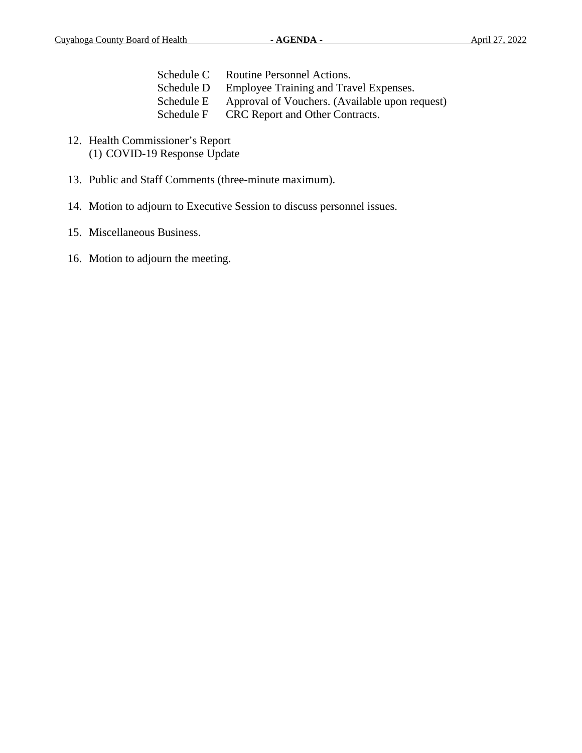| Schedule C | Routine Personnel Actions.             |
|------------|----------------------------------------|
| Schedule D | Employee Training and Travel Expenses. |

- Schedule E Approval of Vouchers. (Available upon request)
- Schedule F CRC Report and Other Contracts.
- 12. Health Commissioner's Report (1) COVID-19 Response Update
- 13. Public and Staff Comments (three-minute maximum).
- 14. Motion to adjourn to Executive Session to discuss personnel issues.
- 15. Miscellaneous Business.
- 16. Motion to adjourn the meeting.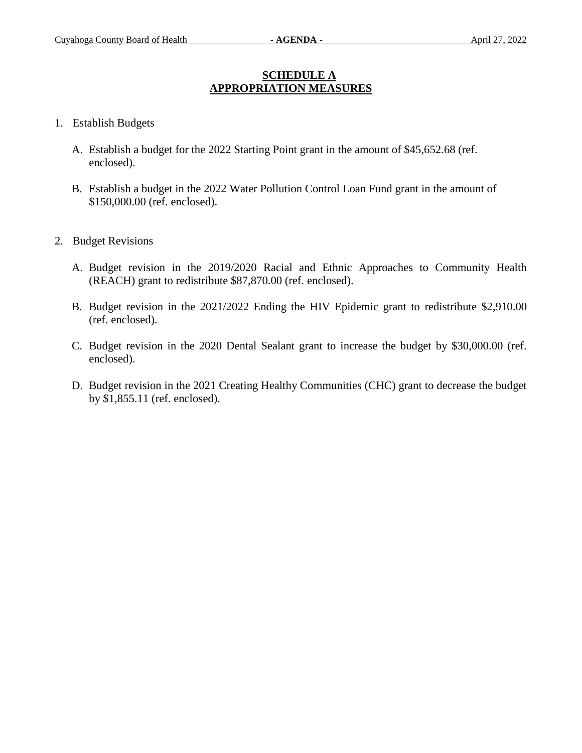### **SCHEDULE A APPROPRIATION MEASURES**

- 1. Establish Budgets
	- A. Establish a budget for the 2022 Starting Point grant in the amount of \$45,652.68 (ref. enclosed).
	- B. Establish a budget in the 2022 Water Pollution Control Loan Fund grant in the amount of \$150,000.00 (ref. enclosed).
- 2. Budget Revisions
	- A. Budget revision in the 2019/2020 Racial and Ethnic Approaches to Community Health (REACH) grant to redistribute \$87,870.00 (ref. enclosed).
	- B. Budget revision in the 2021/2022 Ending the HIV Epidemic grant to redistribute \$2,910.00 (ref. enclosed).
	- C. Budget revision in the 2020 Dental Sealant grant to increase the budget by \$30,000.00 (ref. enclosed).
	- D. Budget revision in the 2021 Creating Healthy Communities (CHC) grant to decrease the budget by \$1,855.11 (ref. enclosed).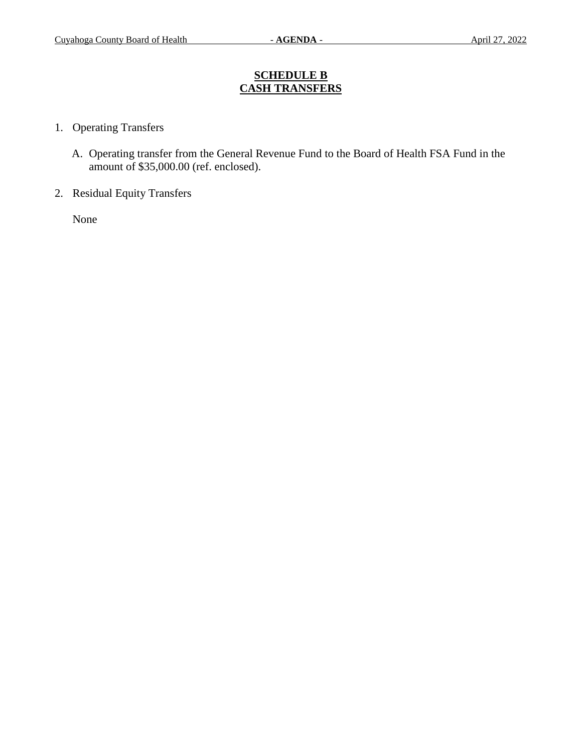### **SCHEDULE B CASH TRANSFERS**

- 1. Operating Transfers
	- A. Operating transfer from the General Revenue Fund to the Board of Health FSA Fund in the amount of \$35,000.00 (ref. enclosed).
- 2. Residual Equity Transfers

None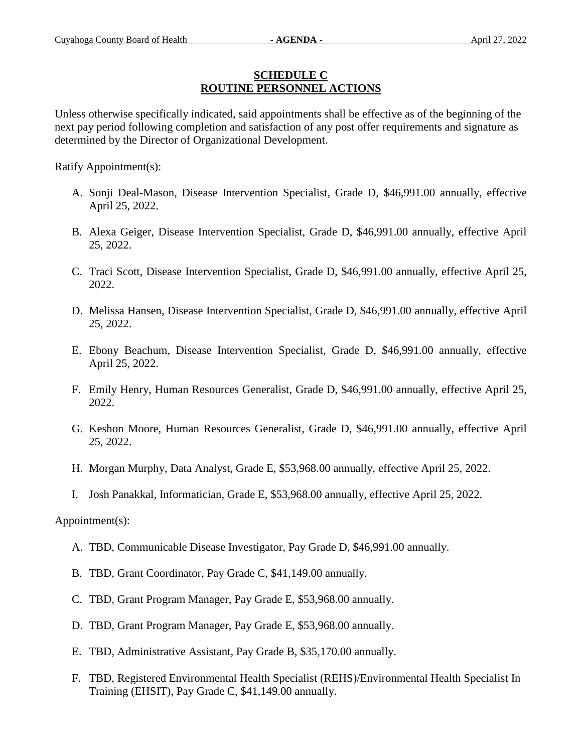### **SCHEDULE C ROUTINE PERSONNEL ACTIONS**

Unless otherwise specifically indicated, said appointments shall be effective as of the beginning of the next pay period following completion and satisfaction of any post offer requirements and signature as determined by the Director of Organizational Development.

Ratify Appointment(s):

- A. Sonji Deal-Mason, Disease Intervention Specialist, Grade D, \$46,991.00 annually, effective April 25, 2022.
- B. Alexa Geiger, Disease Intervention Specialist, Grade D, \$46,991.00 annually, effective April 25, 2022.
- C. Traci Scott, Disease Intervention Specialist, Grade D, \$46,991.00 annually, effective April 25, 2022.
- D. Melissa Hansen, Disease Intervention Specialist, Grade D, \$46,991.00 annually, effective April 25, 2022.
- E. Ebony Beachum, Disease Intervention Specialist, Grade D, \$46,991.00 annually, effective April 25, 2022.
- F. Emily Henry, Human Resources Generalist, Grade D, \$46,991.00 annually, effective April 25, 2022.
- G. Keshon Moore, Human Resources Generalist, Grade D, \$46,991.00 annually, effective April 25, 2022.
- H. Morgan Murphy, Data Analyst, Grade E, \$53,968.00 annually, effective April 25, 2022.
- I. Josh Panakkal, Informatician, Grade E, \$53,968.00 annually, effective April 25, 2022.

Appointment(s):

- A. TBD, Communicable Disease Investigator, Pay Grade D, \$46,991.00 annually.
- B. TBD, Grant Coordinator, Pay Grade C, \$41,149.00 annually.
- C. TBD, Grant Program Manager, Pay Grade E, \$53,968.00 annually.
- D. TBD, Grant Program Manager, Pay Grade E, \$53,968.00 annually.
- E. TBD, Administrative Assistant, Pay Grade B, \$35,170.00 annually.
- F. TBD, Registered Environmental Health Specialist (REHS)/Environmental Health Specialist In Training (EHSIT), Pay Grade C, \$41,149.00 annually.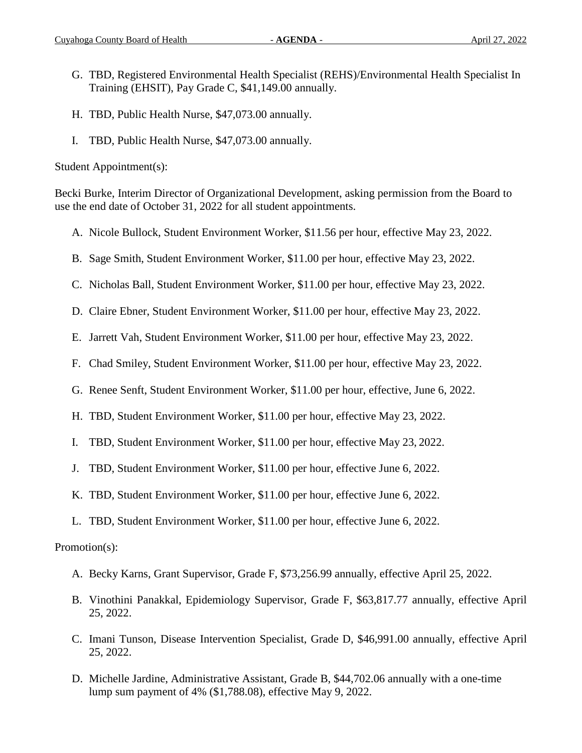- G. TBD, Registered Environmental Health Specialist (REHS)/Environmental Health Specialist In Training (EHSIT), Pay Grade C, \$41,149.00 annually.
- H. TBD, Public Health Nurse, \$47,073.00 annually.
- I. TBD, Public Health Nurse, \$47,073.00 annually.

Student Appointment(s):

Becki Burke, Interim Director of Organizational Development, asking permission from the Board to use the end date of October 31, 2022 for all student appointments.

- A. Nicole Bullock, Student Environment Worker, \$11.56 per hour, effective May 23, 2022.
- B. Sage Smith, Student Environment Worker, \$11.00 per hour, effective May 23, 2022.
- C. Nicholas Ball, Student Environment Worker, \$11.00 per hour, effective May 23, 2022.
- D. Claire Ebner, Student Environment Worker, \$11.00 per hour, effective May 23, 2022.
- E. Jarrett Vah, Student Environment Worker, \$11.00 per hour, effective May 23, 2022.
- F. Chad Smiley, Student Environment Worker, \$11.00 per hour, effective May 23, 2022.
- G. Renee Senft, Student Environment Worker, \$11.00 per hour, effective, June 6, 2022.
- H. TBD, Student Environment Worker, \$11.00 per hour, effective May 23, 2022.
- I. TBD, Student Environment Worker, \$11.00 per hour, effective May 23, 2022.
- J. TBD, Student Environment Worker, \$11.00 per hour, effective June 6, 2022.
- K. TBD, Student Environment Worker, \$11.00 per hour, effective June 6, 2022.
- L. TBD, Student Environment Worker, \$11.00 per hour, effective June 6, 2022.

#### Promotion(s):

- A. Becky Karns, Grant Supervisor, Grade F, \$73,256.99 annually, effective April 25, 2022.
- B. Vinothini Panakkal, Epidemiology Supervisor, Grade F, \$63,817.77 annually, effective April 25, 2022.
- C. Imani Tunson, Disease Intervention Specialist, Grade D, \$46,991.00 annually, effective April 25, 2022.
- D. Michelle Jardine, Administrative Assistant, Grade B, \$44,702.06 annually with a one-time lump sum payment of 4% (\$1,788.08), effective May 9, 2022.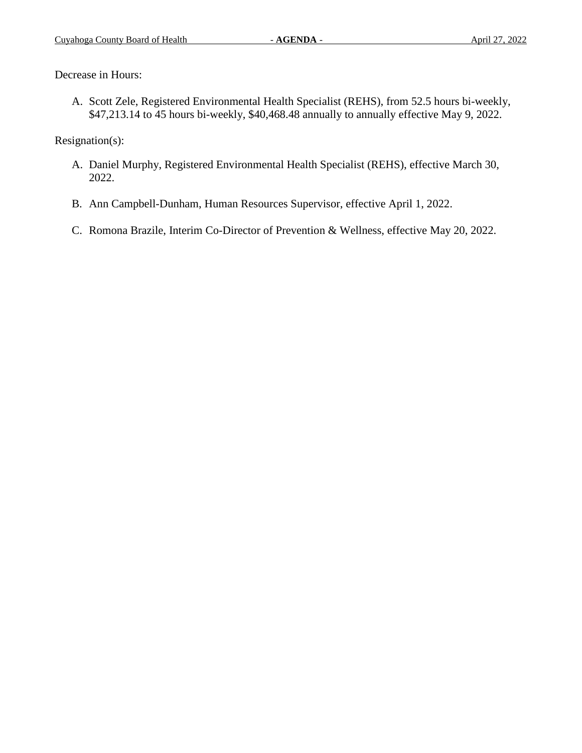Decrease in Hours:

A. Scott Zele, Registered Environmental Health Specialist (REHS), from 52.5 hours bi-weekly, \$47,213.14 to 45 hours bi-weekly, \$40,468.48 annually to annually effective May 9, 2022.

Resignation(s):

- A. Daniel Murphy, Registered Environmental Health Specialist (REHS), effective March 30, 2022.
- B. Ann Campbell-Dunham, Human Resources Supervisor, effective April 1, 2022.
- C. Romona Brazile, Interim Co-Director of Prevention & Wellness, effective May 20, 2022.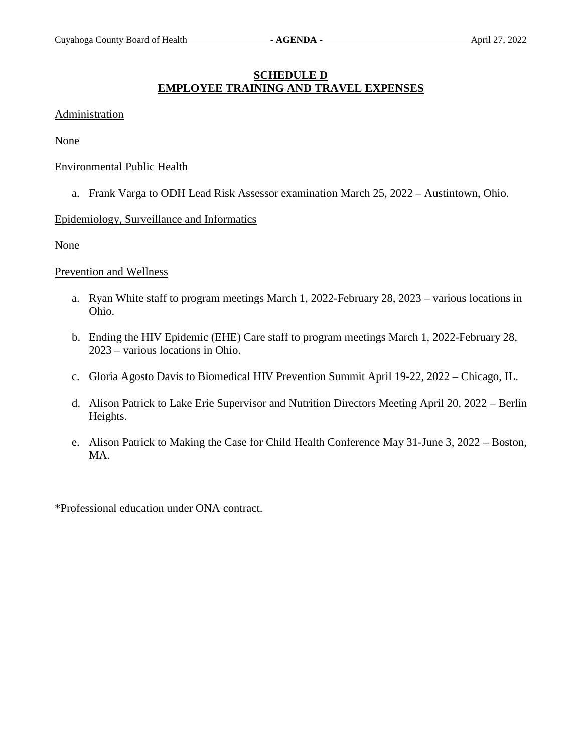# **SCHEDULE D EMPLOYEE TRAINING AND TRAVEL EXPENSES**

#### Administration

None

#### Environmental Public Health

a. Frank Varga to ODH Lead Risk Assessor examination March 25, 2022 – Austintown, Ohio.

#### Epidemiology, Surveillance and Informatics

None

#### Prevention and Wellness

- a. Ryan White staff to program meetings March 1, 2022-February 28, 2023 various locations in Ohio.
- b. Ending the HIV Epidemic (EHE) Care staff to program meetings March 1, 2022-February 28, 2023 – various locations in Ohio.
- c. Gloria Agosto Davis to Biomedical HIV Prevention Summit April 19-22, 2022 Chicago, IL.
- d. Alison Patrick to Lake Erie Supervisor and Nutrition Directors Meeting April 20, 2022 Berlin Heights.
- e. Alison Patrick to Making the Case for Child Health Conference May 31-June 3, 2022 Boston, MA.

\*Professional education under ONA contract.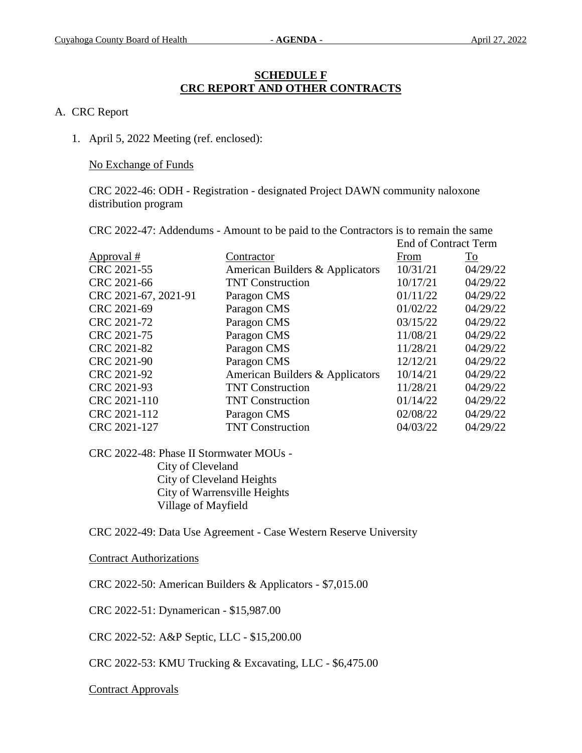### **SCHEDULE F CRC REPORT AND OTHER CONTRACTS**

#### A. CRC Report

1. April 5, 2022 Meeting (ref. enclosed):

No Exchange of Funds

CRC 2022-46: ODH - Registration - designated Project DAWN community naloxone distribution program

CRC 2022-47: Addendums - Amount to be paid to the Contractors is to remain the same

| Contractor                      | From     | $\overline{\text{To}}$      |
|---------------------------------|----------|-----------------------------|
| American Builders & Applicators | 10/31/21 | 04/29/22                    |
| <b>TNT Construction</b>         | 10/17/21 | 04/29/22                    |
| Paragon CMS                     | 01/11/22 | 04/29/22                    |
| Paragon CMS                     | 01/02/22 | 04/29/22                    |
| Paragon CMS                     | 03/15/22 | 04/29/22                    |
| Paragon CMS                     | 11/08/21 | 04/29/22                    |
| Paragon CMS                     | 11/28/21 | 04/29/22                    |
| Paragon CMS                     | 12/12/21 | 04/29/22                    |
| American Builders & Applicators | 10/14/21 | 04/29/22                    |
| <b>TNT Construction</b>         | 11/28/21 | 04/29/22                    |
| <b>TNT Construction</b>         | 01/14/22 | 04/29/22                    |
| Paragon CMS                     | 02/08/22 | 04/29/22                    |
| <b>TNT Construction</b>         | 04/03/22 | 04/29/22                    |
|                                 |          | <b>End of Contract Term</b> |

CRC 2022-48: Phase II Stormwater MOUs - City of Cleveland City of Cleveland Heights City of Warrensville Heights Village of Mayfield

CRC 2022-49: Data Use Agreement - Case Western Reserve University

Contract Authorizations

CRC 2022-50: American Builders & Applicators - \$7,015.00

CRC 2022-51: Dynamerican - \$15,987.00

CRC 2022-52: A&P Septic, LLC - \$15,200.00

CRC 2022-53: KMU Trucking & Excavating, LLC - \$6,475.00

Contract Approvals